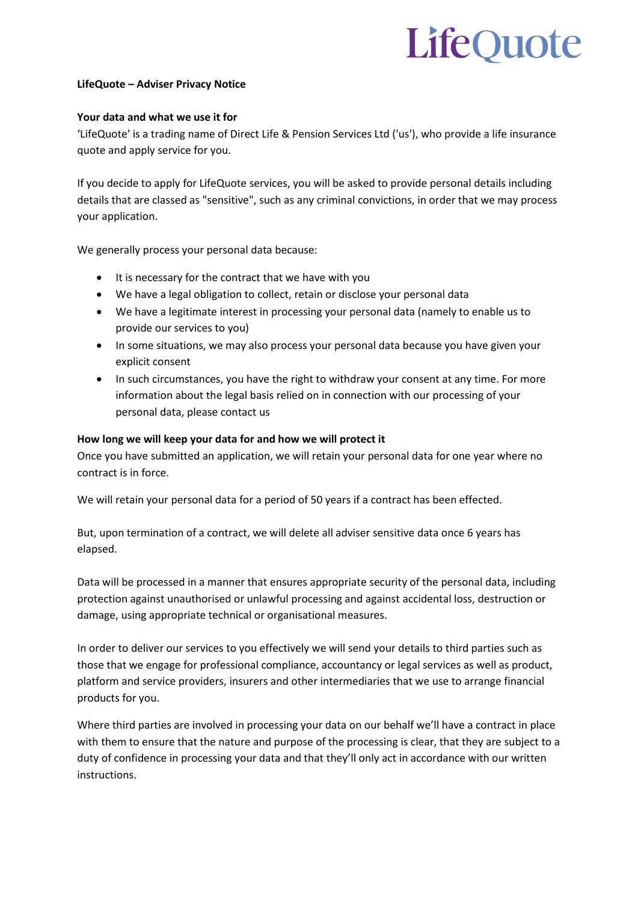# LifeOuote

## **LifeQuote – Adviser Privacy Notice**

## **Your data and what we use it for**

'LifeQuote' is a trading name of Direct Life & Pension Services Ltd ('us'), who provide a life insurance quote and apply service for you.

If you decide to apply for LifeQuote services, you will be asked to provide personal details including details that are classed as "sensitive", such as any criminal convictions, in order that we may process your application.

We generally process your personal data because:

- It is necessary for the contract that we have with you
- We have a legal obligation to collect, retain or disclose your personal data
- We have a legitimate interest in processing your personal data (namely to enable us to provide our services to you)
- In some situations, we may also process your personal data because you have given your explicit consent
- In such circumstances, you have the right to withdraw your consent at any time. For more information about the legal basis relied on in connection with our processing of your personal data, please contact us

## **How long we will keep your data for and how we will protect it**

Once you have submitted an application, we will retain your personal data for one year where no contract is in force.

We will retain your personal data for a period of 50 years if a contract has been effected.

But, upon termination of a contract, we will delete all adviser sensitive data once 6 years has elapsed.

Data will be processed in a manner that ensures appropriate security of the personal data, including protection against unauthorised or unlawful processing and against accidental loss, destruction or damage, using appropriate technical or organisational measures.

In order to deliver our services to you effectively we will send your details to third parties such as those that we engage for professional compliance, accountancy or legal services as well as product, platform and service providers, insurers and other intermediaries that we use to arrange financial products for you.

Where third parties are involved in processing your data on our behalf we'll have a contract in place with them to ensure that the nature and purpose of the processing is clear, that they are subject to a duty of confidence in processing your data and that they'll only act in accordance with our written instructions.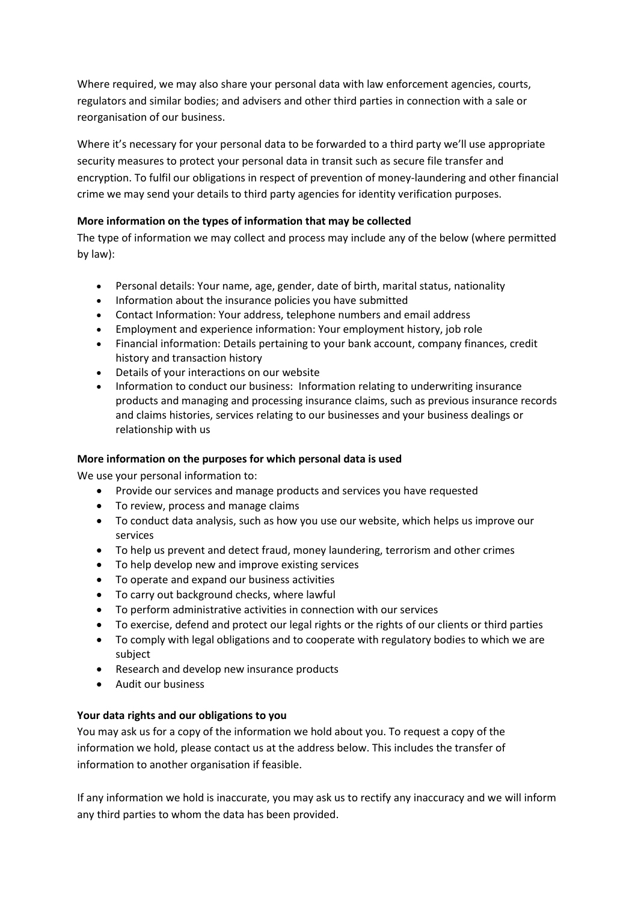Where required, we may also share your personal data with law enforcement agencies, courts, regulators and similar bodies; and advisers and other third parties in connection with a sale or reorganisation of our business.

Where it's necessary for your personal data to be forwarded to a third party we'll use appropriate security measures to protect your personal data in transit such as secure file transfer and encryption. To fulfil our obligations in respect of prevention of money-laundering and other financial crime we may send your details to third party agencies for identity verification purposes.

# **More information on the types of information that may be collected**

The type of information we may collect and process may include any of the below (where permitted by law):

- Personal details: Your name, age, gender, date of birth, marital status, nationality
- Information about the insurance policies you have submitted
- Contact Information: Your address, telephone numbers and email address
- Employment and experience information: Your employment history, job role
- Financial information: Details pertaining to your bank account, company finances, credit history and transaction history
- Details of your interactions on our website
- Information to conduct our business: Information relating to underwriting insurance products and managing and processing insurance claims, such as previous insurance records and claims histories, services relating to our businesses and your business dealings or relationship with us

## **More information on the purposes for which personal data is used**

We use your personal information to:

- Provide our services and manage products and services you have requested
- To review, process and manage claims
- To conduct data analysis, such as how you use our website, which helps us improve our services
- To help us prevent and detect fraud, money laundering, terrorism and other crimes
- To help develop new and improve existing services
- To operate and expand our business activities
- To carry out background checks, where lawful
- To perform administrative activities in connection with our services
- To exercise, defend and protect our legal rights or the rights of our clients or third parties
- To comply with legal obligations and to cooperate with regulatory bodies to which we are subject
- Research and develop new insurance products
- Audit our business

## **Your data rights and our obligations to you**

You may ask us for a copy of the information we hold about you. To request a copy of the information we hold, please contact us at the address below. This includes the transfer of information to another organisation if feasible.

If any information we hold is inaccurate, you may ask us to rectify any inaccuracy and we will inform any third parties to whom the data has been provided.